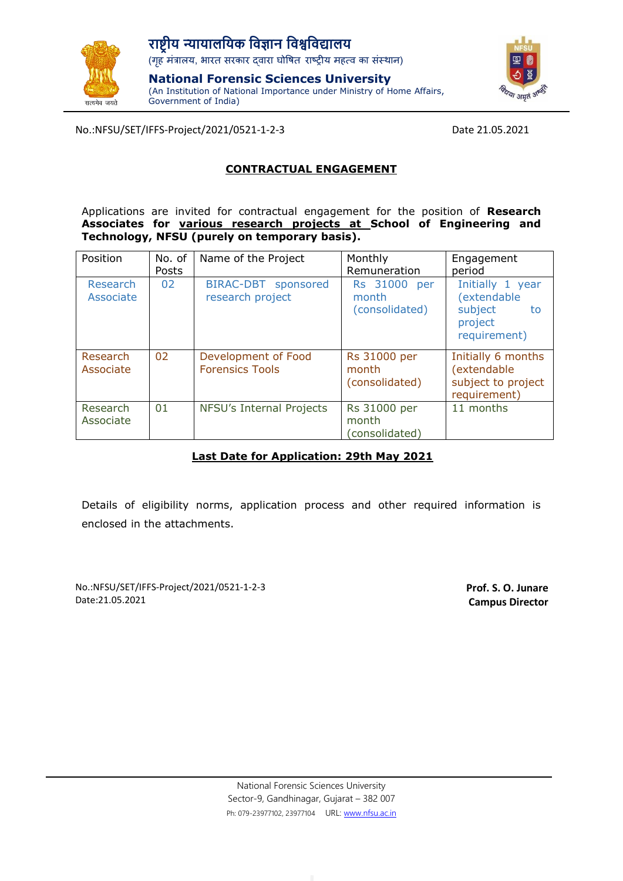



No.:NFSU/SET/IFFS-Project/2021/0521-1-2-3 Date 21.05.2021

# **CONTRACTUAL ENGAGEMENT**

Applications are invited for contractual engagement for the position of **Research Associates for various research projects at School of Engineering and Technology, NFSU (purely on temporary basis).**

| Position              | No. of<br>Posts | Name of the Project                           | Monthly<br>Remuneration                 | Engagement<br>period                                                        |
|-----------------------|-----------------|-----------------------------------------------|-----------------------------------------|-----------------------------------------------------------------------------|
| Research<br>Associate | 02              | BIRAC-DBT sponsored<br>research project       | Rs 31000 per<br>month<br>(consolidated) | Initially 1 year<br>(extendable<br>subject<br>to<br>project<br>requirement) |
| Research<br>Associate | 02              | Development of Food<br><b>Forensics Tools</b> | Rs 31000 per<br>month<br>(consolidated) | Initially 6 months<br>(extendable<br>subject to project<br>requirement)     |
| Research<br>Associate | 01              | NFSU's Internal Projects                      | Rs 31000 per<br>month<br>(consolidated) | 11 months                                                                   |

## **Last Date for Application: 29th May 2021**

Details of eligibility norms, application process and other required information is enclosed in the attachments.

No.:NFSU/SET/IFFS-Project/2021/0521-1-2-3 Date:21.05.2021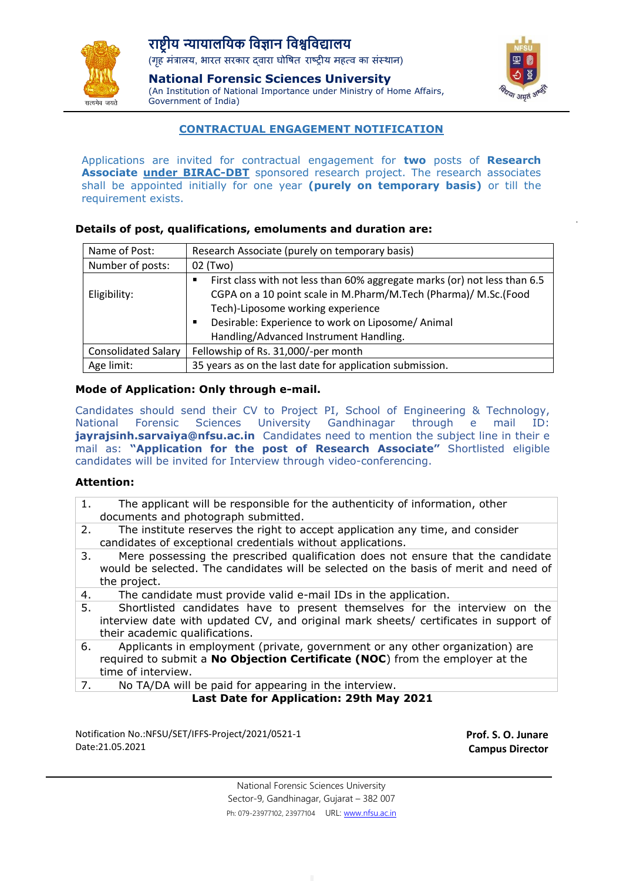



# **CONTRACTUAL ENGAGEMENT NOTIFICATION**

Applications are invited for contractual engagement for **two** posts of **Research Associate under BIRAC-DBT** sponsored research project. The research associates shall be appointed initially for one year **(purely on temporary basis)** or till the requirement exists.

## **Details of post, qualifications, emoluments and duration are:**

| Name of Post:              | Research Associate (purely on temporary basis)                                              |  |  |
|----------------------------|---------------------------------------------------------------------------------------------|--|--|
| Number of posts:           | 02 (Two)                                                                                    |  |  |
|                            | First class with not less than 60% aggregate marks (or) not less than 6.5<br>$\blacksquare$ |  |  |
| Eligibility:               | CGPA on a 10 point scale in M.Pharm/M.Tech (Pharma)/ M.Sc.(Food                             |  |  |
|                            | Tech)-Liposome working experience                                                           |  |  |
|                            | Desirable: Experience to work on Liposome/ Animal<br>٠                                      |  |  |
|                            | Handling/Advanced Instrument Handling.                                                      |  |  |
| <b>Consolidated Salary</b> | Fellowship of Rs. 31,000/-per month                                                         |  |  |
| Age limit:                 | 35 years as on the last date for application submission.                                    |  |  |

## **Mode of Application: Only through e-mail.**

Candidates should send their CV to Project PI, School of Engineering & Technology, National Forensic Sciences University Gandhinagar through e mail ID: **[jayrajsinh.sarvaiya@nfsu.ac.in](mailto:jayrajsinh.sarvaiya@nfsu.ac.in)** Candidates need to mention the subject line in their e mail as: **"Application for the post of Research Associate"** Shortlisted eligible candidates will be invited for Interview through video-conferencing.

#### **Attention:**

- 1. The applicant will be responsible for the authenticity of information, other documents and photograph submitted.
- 2. The institute reserves the right to accept application any time, and consider candidates of exceptional credentials without applications.
- 3. Mere possessing the prescribed qualification does not ensure that the candidate would be selected. The candidates will be selected on the basis of merit and need of the project.
- 4. The candidate must provide valid e-mail IDs in the application.
- 5. Shortlisted candidates have to present themselves for the interview on the interview date with updated CV, and original mark sheets/ certificates in support of their academic qualifications.
- 6. Applicants in employment (private, government or any other organization) are required to submit a **No Objection Certificate (NOC**) from the employer at the time of interview.
- 7. No TA/DA will be paid for appearing in the interview.

**Last Date for Application: 29th May 2021**

Notification No.:NFSU/SET/IFFS-Project/2021/0521-1 Date:21.05.2021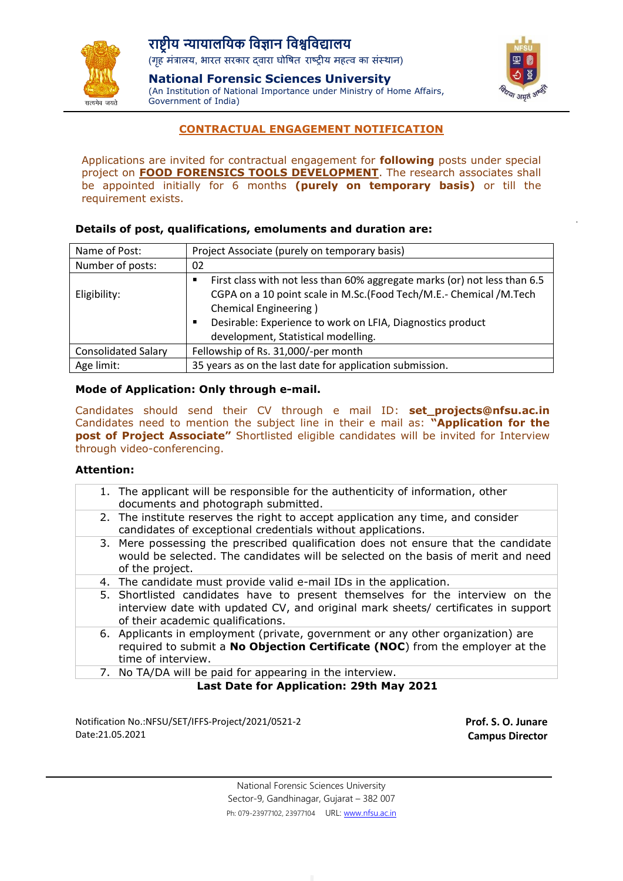



# **CONTRACTUAL ENGAGEMENT NOTIFICATION**

Applications are invited for contractual engagement for **following** posts under special project on **FOOD FORENSICS TOOLS DEVELOPMENT**. The research associates shall be appointed initially for 6 months **(purely on temporary basis)** or till the requirement exists.

## **Details of post, qualifications, emoluments and duration are:**

| Name of Post:              | Project Associate (purely on temporary basis)                             |  |
|----------------------------|---------------------------------------------------------------------------|--|
| Number of posts:           | 02                                                                        |  |
|                            | First class with not less than 60% aggregate marks (or) not less than 6.5 |  |
| Eligibility:               | CGPA on a 10 point scale in M.Sc.(Food Tech/M.E.- Chemical /M.Tech        |  |
|                            | <b>Chemical Engineering</b> )                                             |  |
|                            | Desirable: Experience to work on LFIA, Diagnostics product                |  |
|                            | development, Statistical modelling.                                       |  |
| <b>Consolidated Salary</b> | Fellowship of Rs. 31,000/-per month                                       |  |
| Age limit:                 | 35 years as on the last date for application submission.                  |  |

## **Mode of Application: Only through e-mail.**

Candidates should send their CV through e mail ID: **set\_projects@nfsu.ac.in**  Candidates need to mention the subject line in their e mail as: **"Application for the post of Project Associate"** Shortlisted eligible candidates will be invited for Interview through video-conferencing.

#### **Attention:**

- 1. The applicant will be responsible for the authenticity of information, other documents and photograph submitted. 2. The institute reserves the right to accept application any time, and consider candidates of exceptional credentials without applications.
	- 3. Mere possessing the prescribed qualification does not ensure that the candidate would be selected. The candidates will be selected on the basis of merit and need of the project.
	- 4. The candidate must provide valid e-mail IDs in the application.
- 5. Shortlisted candidates have to present themselves for the interview on the interview date with updated CV, and original mark sheets/ certificates in support of their academic qualifications.
- 6. Applicants in employment (private, government or any other organization) are required to submit a **No Objection Certificate (NOC**) from the employer at the time of interview.
- 7. No TA/DA will be paid for appearing in the interview.

 **Last Date for Application: 29th May 2021**

Notification No.:NFSU/SET/IFFS-Project/2021/0521-2 Date:21.05.2021